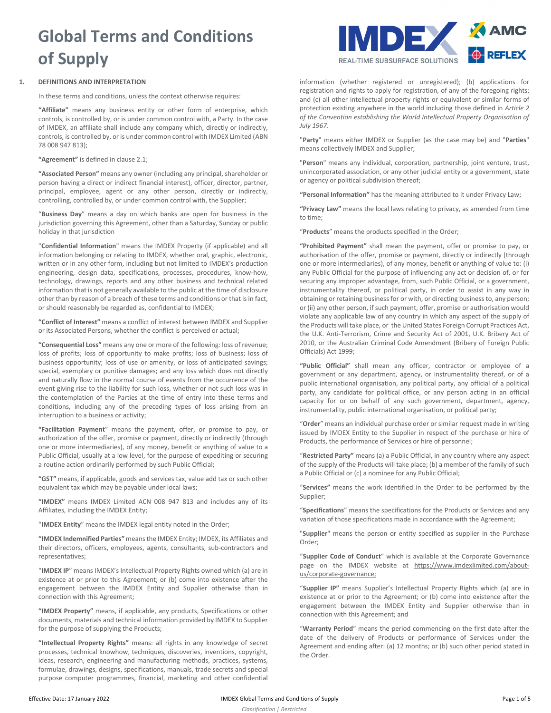# **Global Terms and Conditions of Supply**

# **1. DEFINITIONS AND INTERPRETATION**

In these terms and conditions, unless the context otherwise requires:

**"Affiliate"** means any business entity or other form of enterprise, which controls, is controlled by, or is under common control with, a Party. In the case of IMDEX, an affiliate shall include any company which, directly or indirectly, controls, is controlled by, or is under common control with IMDEX Limited (ABN 78 008 947 813);

**"Agreement"** is defined in claus[e 2.1;](#page-1-0)

**"Associated Person"** means any owner (including any principal, shareholder or person having a direct or indirect financial interest), officer, director, partner, principal, employee, agent or any other person, directly or indirectly, controlling, controlled by, or under common control with, the Supplier;

"**Business Day**" means a day on which banks are open for business in the jurisdiction governing this Agreement, other than a Saturday, Sunday or public holiday in that jurisdiction

"**Confidential Information**" means the IMDEX Property (if applicable) and all information belonging or relating to IMDEX, whether oral, graphic, electronic, written or in any other form, including but not limited to IMDEX's production engineering, design data, specifications, processes, procedures, know-how, technology, drawings, reports and any other business and technical related information that is not generally available to the public at the time of disclosure other than by reason of a breach of these terms and conditions or that is in fact, or should reasonably be regarded as, confidential to IMDEX;

**"Conflict of Interest"** means a conflict of interest between IMDEX and Supplier or its Associated Persons, whether the conflict is perceived or actual;

**"Consequential Loss"** means any one or more of the following: loss of revenue; loss of profits; loss of opportunity to make profits; loss of business; loss of business opportunity; loss of use or amenity, or loss of anticipated savings; special, exemplary or punitive damages; and any loss which does not directly and naturally flow in the normal course of events from the occurrence of the event giving rise to the liability for such loss, whether or not such loss was in the contemplation of the Parties at the time of entry into these terms and conditions, including any of the preceding types of loss arising from an interruption to a business or activity;

**"Facilitation Payment**" means the payment, offer, or promise to pay, or authorization of the offer, promise or payment, directly or indirectly (through one or more intermediaries), of any money, benefit or anything of value to a Public Official, usually at a low level, for the purpose of expediting or securing a routine action ordinarily performed by such Public Official;

**"GST"** means, if applicable, goods and services tax, value add tax or such other equivalent tax which may be payable under local laws;

**"IMDEX"** means IMDEX Limited ACN 008 947 813 and includes any of its Affiliates, including the IMDEX Entity;

"**IMDEX Entity**" means the IMDEX legal entity noted in the Order;

**"IMDEX Indemnified Parties"** means the IMDEX Entity; IMDEX, its Affiliates and their directors, officers, employees, agents, consultants, sub-contractors and representatives;

"**IMDEX IP**" means IMDEX's Intellectual Property Rights owned which (a) are in existence at or prior to this Agreement; or (b) come into existence after the engagement between the IMDEX Entity and Supplier otherwise than in connection with this Agreement;

**"IMDEX Property"** means, if applicable, any products, Specifications or other documents, materials and technical information provided by IMDEX to Supplier for the purpose of supplying the Products;

**"Intellectual Property Rights"** means: all rights in any knowledge of secret processes, technical knowhow, techniques, discoveries, inventions, copyright, ideas, research, engineering and manufacturing methods, practices, systems, formulae, drawings, designs, specifications, manuals, trade secrets and special purpose computer programmes, financial, marketing and other confidential



information (whether registered or unregistered); (b) applications for registration and rights to apply for registration, of any of the foregoing rights; and (c) all other intellectual property rights or equivalent or similar forms of protection existing anywhere in the world including those defined in *Article 2 of the Convention establishing the World Intellectual Property Organisation of July 1967*.

"**Party**" means either IMDEX or Supplier (as the case may be) and "**Parties**" means collectively IMDEX and Supplier;

"**Person**" means any individual, corporation, partnership, joint venture, trust, unincorporated association, or any other judicial entity or a government, state or agency or political subdivision thereof;

**"Personal Information"** has the meaning attributed to it under Privacy Law;

**"Privacy Law"** means the local laws relating to privacy, as amended from time to time;

"**Products**" means the products specified in the Order;

**"Prohibited Payment"** shall mean the payment, offer or promise to pay, or authorisation of the offer, promise or payment, directly or indirectly (through one or more intermediaries), of any money, benefit or anything of value to: (i) any Public Official for the purpose of influencing any act or decision of, or for securing any improper advantage, from, such Public Official, or a government, instrumentality thereof, or political party, in order to assist in any way in obtaining or retaining business for or with, or directing business to, any person; or (ii) any other person, if such payment, offer, promise or authorisation would violate any applicable law of any country in which any aspect of the supply of the Products will take place, or the United States Foreign Corrupt Practices Act, the U.K. Anti-Terrorism, Crime and Security Act of 2001, U.K. Bribery Act of 2010, or the Australian Criminal Code Amendment (Bribery of Foreign Public Officials) Act 1999;

**"Public Official"** shall mean any officer, contractor or employee of a government or any department, agency, or instrumentality thereof, or of a public international organisation, any political party, any official of a political party, any candidate for political office, or any person acting in an official capacity for or on behalf of any such government, department, agency, instrumentality, public international organisation, or political party;

"**Order**" means an individual purchase order or similar request made in writing issued by IMDEX Entity to the Supplier in respect of the purchase or hire of Products, the performance of Services or hire of personnel;

"**Restricted Party"** means (a) a Public Official, in any country where any aspect of the supply of the Products will take place; (b) a member of the family of such a Public Official or (c) a nominee for any Public Official;

"**Services"** means the work identified in the Order to be performed by the Supplier;

"**Specifications**" means the specifications for the Products or Services and any variation of those specifications made in accordance with the Agreement;

"**Supplier**" means the person or entity specified as supplier in the Purchase Order;

"**Supplier Code of Conduct**" which is available at the Corporate Governance page on the IMDEX website at [https://www.imdexlimited.com/about](https://www.imdexlimited.com/about-us/corporate-governance)[us/corporate-governance;](https://www.imdexlimited.com/about-us/corporate-governance)

"**Supplier IP"** means Supplier's Intellectual Property Rights which (a) are in existence at or prior to the Agreement; or (b) come into existence after the engagement between the IMDEX Entity and Supplier otherwise than in connection with this Agreement; and

"**Warranty Period**" means the period commencing on the first date after the date of the delivery of Products or performance of Services under the Agreement and ending after: (a) 12 months; or (b) such other period stated in the Order.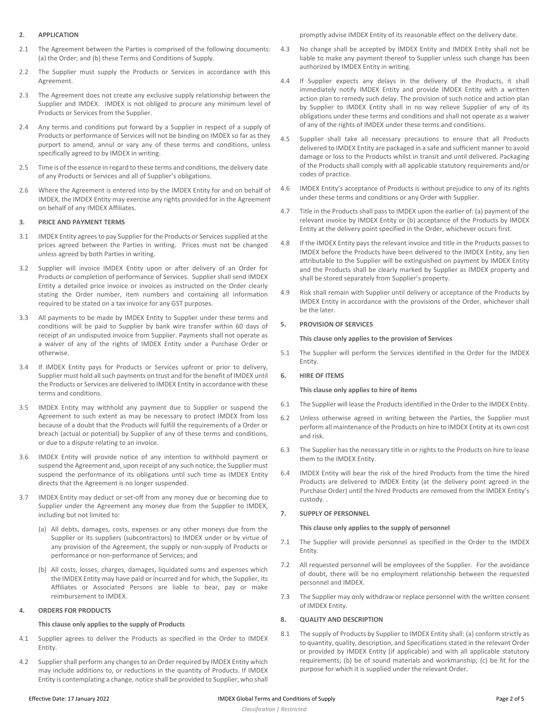## **2. APPLICATION**

- <span id="page-1-0"></span>2.1 The Agreement between the Parties is comprised of the following documents: (a) the Order; and (b) these Terms and Conditions of Supply.
- 2.2 The Supplier must supply the Products or Services in accordance with this Agreement.
- 2.3 The Agreement does not create any exclusive supply relationship between the Supplier and IMDEX. IMDEX is not obliged to procure any minimum level of Products or Services from the Supplier.
- 2.4 Any terms and conditions put forward by a Supplier in respect of a supply of Products or performance of Services will not be binding on IMDEX so far as they purport to amend, annul or vary any of these terms and conditions, unless specifically agreed to by IMDEX in writing.
- 2.5 Time is of the essence in regard to these terms and conditions, the delivery date of any Products or Services and all of Supplier's obligations.
- 2.6 Where the Agreement is entered into by the IMDEX Entity for and on behalf of IMDEX, the IMDEX Entity may exercise any rights provided for in the Agreement on behalf of any IMDEX Affiliates.

## **3. PRICE AND PAYMENT TERMS**

- 3.1 IMDEX Entity agrees to pay Supplier for the Products or Services supplied at the prices agreed between the Parties in writing. Prices must not be changed unless agreed by both Parties in writing.
- <span id="page-1-1"></span>3.2 Supplier will invoice IMDEX Entity upon or after delivery of an Order for Products or completion of performance of Services. Supplier shall send IMDEX Entity a detailed price invoice or invoices as instructed on the Order clearly stating the Order number, item numbers and containing all information required to be stated on a tax invoice for any GST purposes.
- <span id="page-1-2"></span>3.3 All payments to be made by IMDEX Entity to Supplier under these terms and conditions will be paid to Supplier by bank wire transfer within 60 days of receipt of an undisputed invoice from Supplier. Payments shall not operate as a waiver of any of the rights of IMDEX Entity under a Purchase Order or otherwise.
- 3.4 If IMDEX Entity pays for Products or Services upfront or prior to delivery, Supplier must hold all such payments on trust and for the benefit of IMDEX until the Products or Services are delivered to IMDEX Entity in accordance with these terms and conditions.
- 3.5 IMDEX Entity may withhold any payment due to Supplier or suspend the Agreement to such extent as may be necessary to protect IMDEX from loss because of a doubt that the Products will fulfill the requirements of a Order or breach (actual or potential) by Supplier of any of these terms and conditions, or due to a dispute relating to an invoice.
- 3.6 IMDEX Entity will provide notice of any intention to withhold payment or suspend the Agreement and, upon receipt of any such notice, the Supplier must suspend the performance of its obligations until such time as IMDEX Entity directs that the Agreement is no longer suspended.
- 3.7 IMDEX Entity may deduct or set-off from any money due or becoming due to Supplier under the Agreement any money due from the Supplier to IMDEX, including but not limited to:
	- (a) All debts, damages, costs, expenses or any other moneys due from the Supplier or its suppliers (subcontractors) to IMDEX under or by virtue of any provision of the Agreement, the supply or non-supply of Products or performance or non-performance of Services; and
	- (b) All costs, losses, charges, damages, liquidated sums and expenses which the IMDEX Entity may have paid or incurred and for which, the Supplier, its Affiliates or Associated Persons are liable to bear, pay or make reimbursement to IMDEX.

## **4. ORDERS FOR PRODUCTS**

#### **This clause only applies to the supply of Products**

- 4.1 Supplier agrees to deliver the Products as specified in the Order to IMDEX Entity.
- 4.2 Supplier shall perform any changes to an Order required by IMDEX Entity which may include additions to, or reductions in the quantity of Products. If IMDEX Entity is contemplating a change, notice shall be provided to Supplier, who shall

promptly advise IMDEX Entity of its reasonable effect on the delivery date.

- 4.3 No change shall be accepted by IMDEX Entity and IMDEX Entity shall not be liable to make any payment thereof to Supplier unless such change has been authorized by IMDEX Entity in writing.
- 4.4 If Supplier expects any delays in the delivery of the Products, it shall immediately notify IMDEX Entity and provide IMDEX Entity with a written action plan to remedy such delay. The provision of such notice and action plan by Supplier to IMDEX Entity shall in no way relieve Supplier of any of its obligations under these terms and conditions and shall not operate as a waiver of any of the rights of IMDEX under these terms and conditions.
- 4.5 Supplier shall take all necessary precautions to ensure that all Products delivered to IMDEX Entity are packaged in a safe and sufficient manner to avoid damage or loss to the Products whilst in transit and until delivered. Packaging of the Products shall comply with all applicable statutory requirements and/or codes of practice.
- 4.6 IMDEX Entity's acceptance of Products is without prejudice to any of its rights under these terms and conditions or any Order with Supplier.
- 4.7 Title in the Products shall pass to IMDEX upon the earlier of: (a) payment of the relevant invoice by IMDEX Entity or (b) acceptance of the Products by IMDEX Entity at the delivery point specified in the Order, whichever occurs first.
- 4.8 If the IMDEX Entity pays the relevant invoice and title in the Products passes to IMDEX before the Products have been delivered to the IMDEX Entity, any lien attributable to the Supplier will be extinguished on payment by IMDEX Entity and the Products shall be clearly marked by Supplier as IMDEX property and shall be stored separately from Supplier's property.
- 4.9 Risk shall remain with Supplier until delivery or acceptance of the Products by IMDEX Entity in accordance with the provisions of the Order, whichever shall be the later.

#### **5. PROVISION OF SERVICES**

## **This clause only applies to the provision of Services**

5.1 The Supplier will perform the Services identified in the Order for the IMDEX Entity.

#### **6. HIRE OF ITEMS**

## **This clause only applies to hire of items**

- 6.1 The Supplier will lease the Products identified in the Order to the IMDEX Entity.
- 6.2 Unless otherwise agreed in writing between the Parties, the Supplier must perform all maintenance of the Products on hire to IMDEX Entity at its own cost and risk.
- 6.3 The Supplier has the necessary title in or rights to the Products on hire to lease them to the IMDEX Entity.
- 6.4 IMDEX Entity will bear the risk of the hired Products from the time the hired Products are delivered to IMDEX Entity (at the delivery point agreed in the Purchase Order) until the hired Products are removed from the IMDEX Entity's custody. .

#### **7. SUPPLY OF PERSONNEL**

#### **This clause only applies to the supply of personnel**

- 7.1 The Supplier will provide personnel as specified in the Order to the IMDEX Entity.
- 7.2 All requested personnel will be employees of the Supplier. For the avoidance of doubt, there will be no employment relationship between the requested personnel and IMDEX.
- 7.3 The Supplier may only withdraw or replace personnel with the written consent of IMDEX Entity.

## **8. QUALITY AND DESCRIPTION**

8.1 The supply of Products by Supplier to IMDEX Entity shall: (a) conform strictly as to quantity, quality, description, and Specifications stated in the relevant Order or provided by IMDEX Entity (if applicable) and with all applicable statutory requirements; (b) be of sound materials and workmanship; (c) be fit for the purpose for which it is supplied under the relevant Order.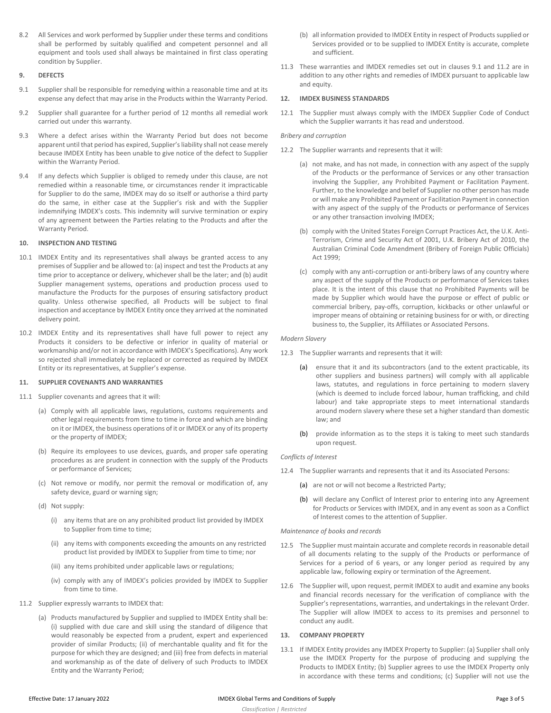8.2 All Services and work performed by Supplier under these terms and conditions shall be performed by suitably qualified and competent personnel and all equipment and tools used shall always be maintained in first class operating condition by Supplier.

## **9. DEFECTS**

- <span id="page-2-0"></span>9.1 Supplier shall be responsible for remedying within a reasonable time and at its expense any defect that may arise in the Products within the Warranty Period.
- 9.2 Supplier shall guarantee for a further period of 12 months all remedial work carried out under this warranty.
- 9.3 Where a defect arises within the Warranty Period but does not become apparent until that period has expired, Supplier's liability shall not cease merely because IMDEX Entity has been unable to give notice of the defect to Supplier within the Warranty Period.
- 9.4 If any defects which Supplier is obliged to remedy under this clause, are not remedied within a reasonable time, or circumstances render it impracticable for Supplier to do the same, IMDEX may do so itself or authorise a third party do the same, in either case at the Supplier's risk and with the Supplier indemnifying IMDEX's costs. This indemnity will survive termination or expiry of any agreement between the Parties relating to the Products and after the Warranty Period.

# **10. INSPECTION AND TESTING**

- 10.1 IMDEX Entity and its representatives shall always be granted access to any premises of Supplier and be allowed to: (a) inspect and test the Products at any time prior to acceptance or delivery, whichever shall be the later; and (b) audit Supplier management systems, operations and production process used to manufacture the Products for the purposes of ensuring satisfactory product quality. Unless otherwise specified, all Products will be subject to final inspection and acceptance by IMDEX Entity once they arrived at the nominated delivery point.
- 10.2 IMDEX Entity and its representatives shall have full power to reject any Products it considers to be defective or inferior in quality of material or workmanship and/or not in accordance with IMDEX's Specifications). Any work so rejected shall immediately be replaced or corrected as required by IMDEX Entity or its representatives, at Supplier's expense.

# **11. SUPPLIER COVENANTS AND WARRANTIES**

- 11.1 Supplier covenants and agrees that it will:
	- (a) Comply with all applicable laws, regulations, customs requirements and other legal requirements from time to time in force and which are binding on it or IMDEX, the business operations of it or IMDEX or any of its property or the property of IMDEX;
	- (b) Require its employees to use devices, guards, and proper safe operating procedures as are prudent in connection with the supply of the Products or performance of Services;
	- (c) Not remove or modify, nor permit the removal or modification of, any safety device, guard or warning sign;
	- (d) Not supply:
		- (i) any items that are on any prohibited product list provided by IMDEX to Supplier from time to time;
		- (ii) any items with components exceeding the amounts on any restricted product list provided by IMDEX to Supplier from time to time; nor
		- (iii) any items prohibited under applicable laws or regulations;
		- (iv) comply with any of IMDEX's policies provided by IMDEX to Supplier from time to time.
- <span id="page-2-1"></span>11.2 Supplier expressly warrants to IMDEX that:
	- (a) Products manufactured by Supplier and supplied to IMDEX Entity shall be: (i) supplied with due care and skill using the standard of diligence that would reasonably be expected from a prudent, expert and experienced provider of similar Products; (ii) of merchantable quality and fit for the purpose for which they are designed; and (iii) free from defects in material and workmanship as of the date of delivery of such Products to IMDEX Entity and the Warranty Period;
- (b) all information provided to IMDEX Entity in respect of Products supplied or Services provided or to be supplied to IMDEX Entity is accurate, complete and sufficient.
- 11.3 These warranties and IMDEX remedies set out in clauses [9.1](#page-2-0) and [11.2](#page-2-1) are in addition to any other rights and remedies of IMDEX pursuant to applicable law and equity.

# **12. IMDEX BUSINESS STANDARDS**

12.1 The Supplier must always comply with the IMDEX Supplier Code of Conduct which the Supplier warrants it has read and understood.

## *Bribery and corruption*

- 12.2 The Supplier warrants and represents that it will:
	- (a) not make, and has not made, in connection with any aspect of the supply of the Products or the performance of Services or any other transaction involving the Supplier, any Prohibited Payment or Facilitation Payment. Further, to the knowledge and belief of Supplier no other person has made or will make any Prohibited Payment or Facilitation Payment in connection with any aspect of the supply of the Products or performance of Services or any other transaction involving IMDEX;
	- (b) comply with the United States Foreign Corrupt Practices Act, the U.K. Anti-Terrorism, Crime and Security Act of 2001, U.K. Bribery Act of 2010, the Australian Criminal Code Amendment (Bribery of Foreign Public Officials) Act 1999;
	- (c) comply with any anti-corruption or anti-bribery laws of any country where any aspect of the supply of the Products or performance of Services takes place. It is the intent of this clause that no Prohibited Payments will be made by Supplier which would have the purpose or effect of public or commercial bribery, pay-offs, corruption, kickbacks or other unlawful or improper means of obtaining or retaining business for or with, or directing business to, the Supplier, its Affiliates or Associated Persons.

## *Modern Slavery*

- 12.3 The Supplier warrants and represents that it will:
	- (a) ensure that it and its subcontractors (and to the extent practicable, its other suppliers and business partners) will comply with all applicable laws, statutes, and regulations in force pertaining to modern slavery (which is deemed to include forced labour, human trafficking, and child labour) and take appropriate steps to meet international standards around modern slavery where these set a higher standard than domestic law; and
	- (b) provide information as to the steps it is taking to meet such standards upon request.

#### *Conflicts of Interest*

- 12.4 The Supplier warrants and represents that it and its Associated Persons:
	- (a) are not or will not become a Restricted Party;
	- (b) will declare any Conflict of Interest prior to entering into any Agreement for Products or Services with IMDEX, and in any event as soon as a Conflict of Interest comes to the attention of Supplier.

#### *Maintenance of books and records*

- 12.5 The Supplier must maintain accurate and complete records in reasonable detail of all documents relating to the supply of the Products or performance of Services for a period of 6 years, or any longer period as required by any applicable law, following expiry or termination of the Agreement.
- 12.6 The Supplier will, upon request, permit IMDEX to audit and examine any books and financial records necessary for the verification of compliance with the Supplier's representations, warranties, and undertakings in the relevant Order. The Supplier will allow IMDEX to access to its premises and personnel to conduct any audit.

## **13. COMPANY PROPERTY**

13.1 If IMDEX Entity provides any IMDEX Property to Supplier: (a) Supplier shall only use the IMDEX Property for the purpose of producing and supplying the Products to IMDEX Entity; (b) Supplier agrees to use the IMDEX Property only in accordance with these terms and conditions; (c) Supplier will not use the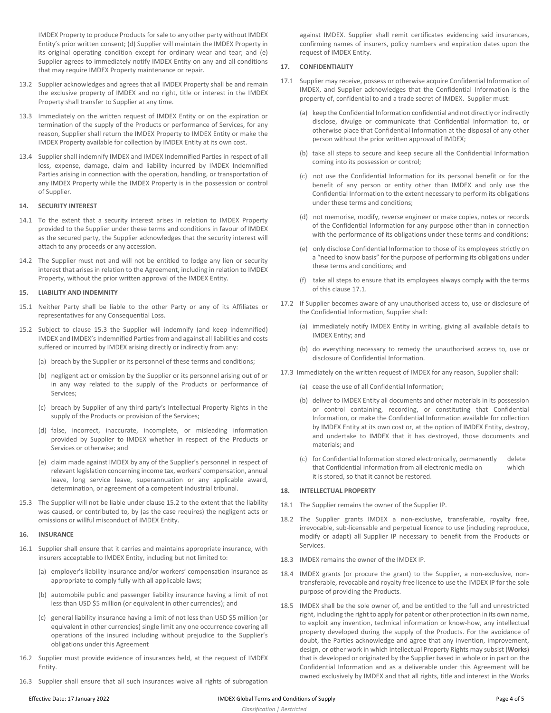IMDEX Property to produce Products for sale to any other party without IMDEX Entity's prior written consent; (d) Supplier will maintain the IMDEX Property in its original operating condition except for ordinary wear and tear; and (e) Supplier agrees to immediately notify IMDEX Entity on any and all conditions that may require IMDEX Property maintenance or repair.

- 13.2 Supplier acknowledges and agrees that all IMDEX Property shall be and remain the exclusive property of IMDEX and no right, title or interest in the IMDEX Property shall transfer to Supplier at any time.
- 13.3 Immediately on the written request of IMDEX Entity or on the expiration or termination of the supply of the Products or performance of Services, for any reason, Supplier shall return the IMDEX Property to IMDEX Entity or make the IMDEX Property available for collection by IMDEX Entity at its own cost.
- 13.4 Supplier shall indemnify IMDEX and IMDEX Indemnified Parties in respect of all loss, expense, damage, claim and liability incurred by IMDEX Indemnified Parties arising in connection with the operation, handling, or transportation of any IMDEX Property while the IMDEX Property is in the possession or control of Supplier.

#### **14. SECURITY INTEREST**

- 14.1 To the extent that a security interest arises in relation to IMDEX Property provided to the Supplier under these terms and conditions in favour of IMDEX as the secured party, the Supplier acknowledges that the security interest will attach to any proceeds or any accession.
- 14.2 The Supplier must not and will not be entitled to lodge any lien or security interest that arises in relation to the Agreement, including in relation to IMDEX Property, without the prior written approval of the IMDEX Entity.

#### **15. LIABILITY AND INDEMNITY**

- 15.1 Neither Party shall be liable to the other Party or any of its Affiliates or representatives for any Consequential Loss.
- <span id="page-3-1"></span>15.2 Subject to clause [15.3](#page-3-0) the Supplier will indemnify (and keep indemnified) IMDEX and IMDEX's Indemnified Parties from and against all liabilities and costs suffered or incurred by IMDEX arising directly or indirectly from any:
	- (a) breach by the Supplier or its personnel of these terms and conditions;
	- (b) negligent act or omission by the Supplier or its personnel arising out of or in any way related to the supply of the Products or performance of Services;
	- (c) breach by Supplier of any third party's Intellectual Property Rights in the supply of the Products or provision of the Services;
	- (d) false, incorrect, inaccurate, incomplete, or misleading information provided by Supplier to IMDEX whether in respect of the Products or Services or otherwise; and
	- (e) claim made against IMDEX by any of the Supplier's personnel in respect of relevant legislation concerning income tax, workers' compensation, annual leave, long service leave, superannuation or any applicable award, determination, or agreement of a competent industrial tribunal.
- <span id="page-3-0"></span>15.3 The Supplier will not be liable under claus[e 15.2](#page-3-1) to the extent that the liability was caused, or contributed to, by (as the case requires) the negligent acts or omissions or willful misconduct of IMDEX Entity.

#### **16. INSURANCE**

- 16.1 Supplier shall ensure that it carries and maintains appropriate insurance, with insurers acceptable to IMDEX Entity, including but not limited to:
	- (a) employer's liability insurance and/or workers' compensation insurance as appropriate to comply fully with all applicable laws;
	- (b) automobile public and passenger liability insurance having a limit of not less than USD \$5 million (or equivalent in other currencies); and
	- (c) general liability insurance having a limit of not less than USD \$5 million (or equivalent in other currencies) single limit any one occurrence covering all operations of the insured including without prejudice to the Supplier's obligations under this Agreement
- 16.2 Supplier must provide evidence of insurances held, at the request of IMDEX Entity.
- 16.3 Supplier shall ensure that all such insurances waive all rights of subrogation

against IMDEX. Supplier shall remit certificates evidencing said insurances, confirming names of insurers, policy numbers and expiration dates upon the request of IMDEX Entity.

#### **17. CONFIDENTIALITY**

- <span id="page-3-2"></span>17.1 Supplier may receive, possess or otherwise acquire Confidential Information of IMDEX, and Supplier acknowledges that the Confidential Information is the property of, confidential to and a trade secret of IMDEX. Supplier must:
	- (a) keep the Confidential Information confidential and not directly or indirectly disclose, divulge or communicate that Confidential Information to, or otherwise place that Confidential Information at the disposal of any other person without the prior written approval of IMDEX;
	- (b) take all steps to secure and keep secure all the Confidential Information coming into its possession or control;
	- (c) not use the Confidential Information for its personal benefit or for the benefit of any person or entity other than IMDEX and only use the Confidential Information to the extent necessary to perform its obligations under these terms and conditions;
	- (d) not memorise, modify, reverse engineer or make copies, notes or records of the Confidential Information for any purpose other than in connection with the performance of its obligations under these terms and conditions;
	- (e) only disclose Confidential Information to those of its employees strictly on a "need to know basis" for the purpose of performing its obligations under these terms and conditions; and
	- (f) take all steps to ensure that its employees always comply with the terms of this claus[e 17.1.](#page-3-2)
- 17.2 If Supplier becomes aware of any unauthorised access to, use or disclosure of the Confidential Information, Supplier shall:
	- (a) immediately notify IMDEX Entity in writing, giving all available details to IMDEX Entity; and
	- (b) do everything necessary to remedy the unauthorised access to, use or disclosure of Confidential Information.
- 17.3 Immediately on the written request of IMDEX for any reason, Supplier shall:
	- (a) cease the use of all Confidential Information;
	- (b) deliver to IMDEX Entity all documents and other materials in its possession or control containing, recording, or constituting that Confidential Information, or make the Confidential Information available for collection by IMDEX Entity at its own cost or, at the option of IMDEX Entity, destroy, and undertake to IMDEX that it has destroyed, those documents and materials; and
	- (c) for Confidential Information stored electronically, permanently delete that Confidential Information from all electronic media on which it is stored, so that it cannot be restored.

#### **18. INTELLECTUAL PROPERTY**

- 18.1 The Supplier remains the owner of the Supplier IP.
- 18.2 The Supplier grants IMDEX a non-exclusive, transferable, royalty free, irrevocable, sub-licensable and perpetual licence to use (including reproduce, modify or adapt) all Supplier IP necessary to benefit from the Products or Services.
- 18.3 IMDEX remains the owner of the IMDEX IP.
- 18.4 IMDEX grants (or procure the grant) to the Supplier, a non-exclusive, nontransferable, revocable and royalty free licence to use the IMDEX IP for the sole purpose of providing the Products.
- 18.5 IMDEX shall be the sole owner of, and be entitled to the full and unrestricted right, including the right to apply for patent or other protection in its own name, to exploit any invention, technical information or know-how, any intellectual property developed during the supply of the Products. For the avoidance of doubt, the Parties acknowledge and agree that any invention, improvement, design, or other work in which Intellectual Property Rights may subsist (**Works**) that is developed or originated by the Supplier based in whole or in part on the Confidential Information and as a deliverable under this Agreement will be owned exclusively by IMDEX and that all rights, title and interest in the Works